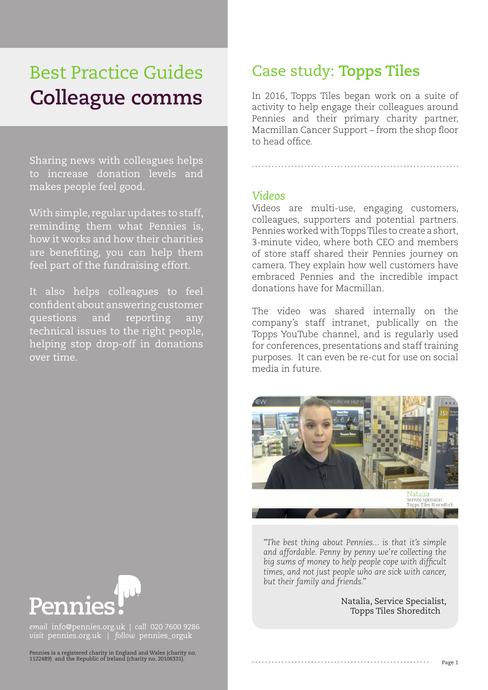# Best Practice Guides **Colleague comms**

Sharing news with colleagues helps to increase donation levels and makes people feel good.

With simple, regular updates to staff, reminding them what Pennies is, how it works and how their charities are benefiting, you can help them feel part of the fundraising effort.

It also helps colleagues to feel confident about answering customer questions and reporting any technical issues to the right people, helping stop drop-off in donations over time.

## Case study: **Topps Tiles**

In 2016, Topps Tiles began work on a suite of activity to help engage their colleagues around Pennies and their primary charity partner, Macmillan Cancer Support – from the shop floor to head office.

#### *Videos*

Videos are multi-use, engaging customers, colleagues, supporters and potential partners. Pennies worked with Topps Tiles to create a short, 3-minute video, where both CEO and members of store staff shared their Pennies journey on camera. They explain how well customers have embraced Pennies and the incredible impact donations have for Macmillan.

The video was shared internally on the company's staff intranet, publically on the Topps YouTube channel, and is regularly used for conferences, presentations and staff training purposes. It can even be re-cut for use on social media in future.



*"The best thing about Pennies... is that it's simple and affordable. Penny by penny we're collecting the big sums of money to help people cope with difficult times, and not just people who are sick with cancer, but their family and friends."*

Natalia, Service Specialist, Topps Tiles Shoreditch



*email* info@pennies.org.uk | *call* 020 7600 9286 *visit* pennies.org.uk | *follow* pennies\_orguk

Pennies is a registered charity in England and Wales (charity no. 1122489) and the Republic of Ireland (charity no. 20106331).